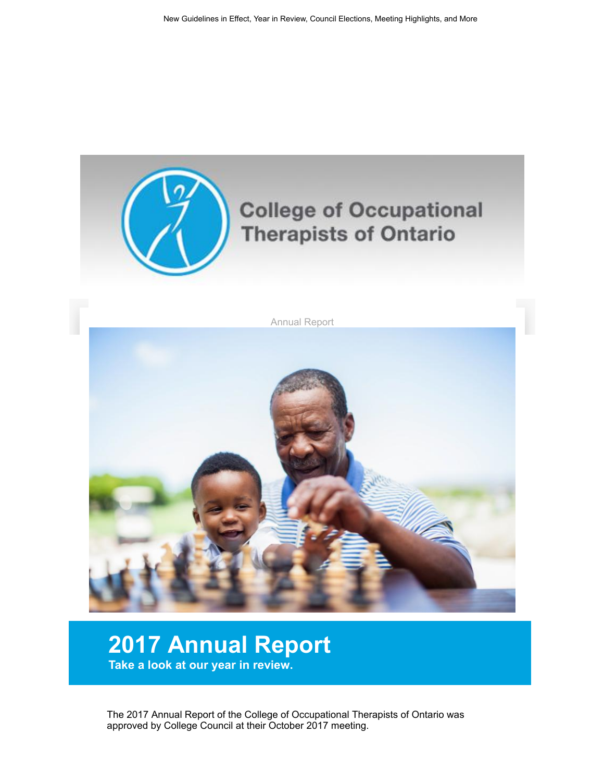

## 2017 Annual Report Take a look at our year in review.

The 2017 Annual Report of the College of Occupational Therapists of Ontario was approved by College Council at their October 2017 meeting.